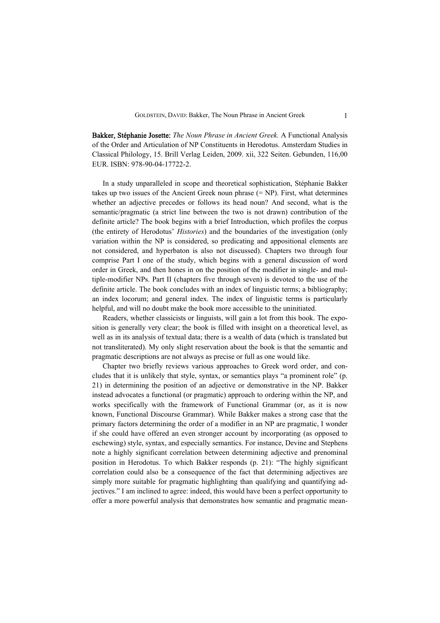Bakker, Stéphanie Josette: *The Noun Phrase in Ancient Greek.* A Functional Analysis of the Order and Articulation of NP Constituents in Herodotus. Amsterdam Studies in Classical Philology, 15. Brill Verlag Leiden, 2009. xii, 322 Seiten. Gebunden, 116,00 EUR. ISBN: 978-90-04-17722-2.

In a study unparalleled in scope and theoretical sophistication, Stéphanie Bakker takes up two issues of the Ancient Greek noun phrase  $(= NP)$ . First, what determines whether an adjective precedes or follows its head noun? And second, what is the semantic/pragmatic (a strict line between the two is not drawn) contribution of the definite article? The book begins with a brief Introduction, which profiles the corpus (the entirety of Herodotus' *Histories*) and the boundaries of the investigation (only variation within the NP is considered, so predicating and appositional elements are not considered, and hyperbaton is also not discussed). Chapters two through four comprise Part I one of the study, which begins with a general discussion of word order in Greek, and then hones in on the position of the modifier in single- and multiple-modifier NPs. Part II (chapters five through seven) is devoted to the use of the definite article. The book concludes with an index of linguistic terms; a bibliography; an index locorum; and general index. The index of linguistic terms is particularly helpful, and will no doubt make the book more accessible to the uninitiated.

Readers, whether classicists or linguists, will gain a lot from this book. The exposition is generally very clear; the book is filled with insight on a theoretical level, as well as in its analysis of textual data; there is a wealth of data (which is translated but not transliterated). My only slight reservation about the book is that the semantic and pragmatic descriptions are not always as precise or full as one would like.

Chapter two briefly reviews various approaches to Greek word order, and concludes that it is unlikely that style, syntax, or semantics plays "a prominent role" (p. 21) in determining the position of an adjective or demonstrative in the NP. Bakker instead advocates a functional (or pragmatic) approach to ordering within the NP, and works specifically with the framework of Functional Grammar (or, as it is now known, Functional Discourse Grammar). While Bakker makes a strong case that the primary factors determining the order of a modifier in an NP are pragmatic, I wonder if she could have offered an even stronger account by incorporating (as opposed to eschewing) style, syntax, and especially semantics. For instance, Devine and Stephens note a highly significant correlation between determining adjective and prenominal position in Herodotus. To which Bakker responds (p. 21): "The highly significant correlation could also be a consequence of the fact that determining adjectives are simply more suitable for pragmatic highlighting than qualifying and quantifying adjectives." I am inclined to agree: indeed, this would have been a perfect opportunity to offer a more powerful analysis that demonstrates how semantic and pragmatic mean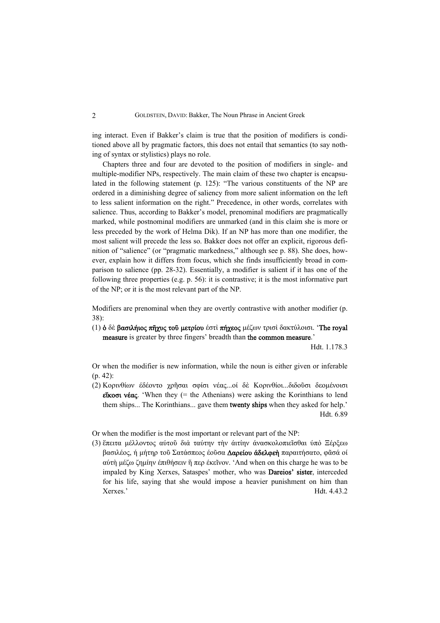ing interact. Even if Bakker's claim is true that the position of modifiers is conditioned above all by pragmatic factors, this does not entail that semantics (to say nothing of syntax or stylistics) plays no role.

Chapters three and four are devoted to the position of modifiers in single- and multiple-modifier NPs, respectively. The main claim of these two chapter is encapsulated in the following statement (p. 125): "The various constituents of the NP are ordered in a diminishing degree of saliency from more salient information on the left to less salient information on the right." Precedence, in other words, correlates with salience. Thus, according to Bakker's model, prenominal modifiers are pragmatically marked, while postnominal modifiers are unmarked (and in this claim she is more or less preceded by the work of Helma Dik). If an NP has more than one modifier, the most salient will precede the less so. Bakker does not offer an explicit, rigorous definition of "salience" (or "pragmatic markedness," although see p. 88). She does, however, explain how it differs from focus, which she finds insufficiently broad in comparison to salience (pp. 28-32). Essentially, a modifier is salient if it has one of the following three properties (e.g. p. 56): it is contrastive; it is the most informative part of the NP; or it is the most relevant part of the NP.

Modifiers are prenominal when they are overtly contrastive with another modifier (p. 38):

(1) ὁ δὲ βασιλήιος πῆχυς τοῦ μετρίου έστὶ πήχεος μέζων τρισὶ δακτύλοισι. 'The royal measure is greater by three fingers' breadth than the common measure.'

Hdt. 1.178.3

Or when the modifier is new information, while the noun is either given or inferable (p. 42):

(2) Κορινθίων έδέοντο χρῆσαι σφίσι νέας...οί δὲ Κορινθίοι...διδοῦσι δεομένοισι εἴκοσι νέας. 'When they (= the Athenians) were asking the Korinthians to lend them ships... The Korinthians... gave them twenty ships when they asked for help.' Hdt. 6.89

Or when the modifier is the most important or relevant part of the NP:

(3) ἔπειτα μέλλοντος αύτοῦ διὰ ταύτην τὴν άιτίην άνασκολοπιεῖσθαι ύπὸ Ξέρξεω βασιλέος, ή μήτηρ τοῦ Σατάσπεος έοῦσα ∆αρείου άδελφεὴ παραιτήσατο, φᾶσά οί αύτὴ μέζω ζημίην έπιθήσειν ἤ περ έκεῖνον. 'And when on this charge he was to be impaled by King Xerxes, Sataspes' mother, who was Dareios' sister, interceded for his life, saying that she would impose a heavier punishment on him than Xerxes.' Hdt. 4.43.2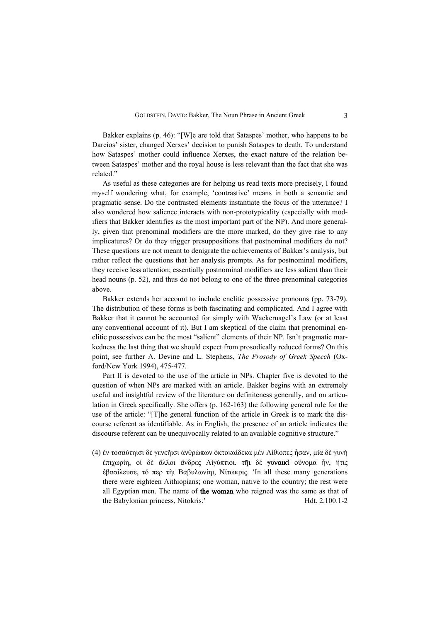Bakker explains (p. 46): "[W]e are told that Sataspes' mother, who happens to be Dareios' sister, changed Xerxes' decision to punish Sataspes to death. To understand how Sataspes' mother could influence Xerxes, the exact nature of the relation between Sataspes' mother and the royal house is less relevant than the fact that she was related."

As useful as these categories are for helping us read texts more precisely, I found myself wondering what, for example, 'contrastive' means in both a semantic and pragmatic sense. Do the contrasted elements instantiate the focus of the utterance? I also wondered how salience interacts with non-prototypicality (especially with modifiers that Bakker identifies as the most important part of the NP). And more generally, given that prenominal modifiers are the more marked, do they give rise to any implicatures? Or do they trigger presuppositions that postnominal modifiers do not? These questions are not meant to denigrate the achievements of Bakker's analysis, but rather reflect the questions that her analysis prompts. As for postnominal modifiers, they receive less attention; essentially postnominal modifiers are less salient than their head nouns (p. 52), and thus do not belong to one of the three prenominal categories above.

Bakker extends her account to include enclitic possessive pronouns (pp. 73-79). The distribution of these forms is both fascinating and complicated. And I agree with Bakker that it cannot be accounted for simply with Wackernagel's Law (or at least any conventional account of it). But I am skeptical of the claim that prenominal enclitic possessives can be the most "salient" elements of their NP. Isn't pragmatic markedness the last thing that we should expect from prosodically reduced forms? On this point, see further A. Devine and L. Stephens, *The Prosody of Greek Speech* (Oxford/New York 1994), 475-477.

Part II is devoted to the use of the article in NPs. Chapter five is devoted to the question of when NPs are marked with an article. Bakker begins with an extremely useful and insightful review of the literature on definiteness generally, and on articulation in Greek specifically. She offers (p. 162-163) the following general rule for the use of the article: "[T]he general function of the article in Greek is to mark the discourse referent as identifiable. As in English, the presence of an article indicates the discourse referent can be unequivocally related to an available cognitive structure."

(4) έν τοσαύτηισι δὲ γενεῆισι άνθρώπων ὀκτοκαίδεκα μὲν Αἰθίοπες ἦσαν, μία δὲ γυνὴ έπιχωρίη, οί δὲ ἄλλοι ἄνδρες Αἰγύπτιοι. τῆι δὲ γυναικὶ οὔνομα ἦν, ἥτις έβασίλευσε, τό περ τῆι Βαβυλωνίηι, Νίτωκρις. 'In all these many generations there were eighteen Aithiopians; one woman, native to the country; the rest were all Egyptian men. The name of the woman who reigned was the same as that of the Babylonian princess, Nitokris.' Hdt. 2.100.1-2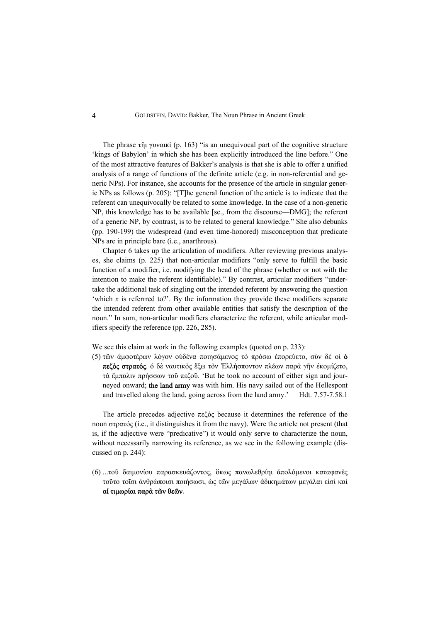The phrase τῆι γυναικὶ (p. 163) "is an unequivocal part of the cognitive structure 'kings of Babylon' in which she has been explicitly introduced the line before." One of the most attractive features of Bakker's analysis is that she is able to offer a unified analysis of a range of functions of the definite article (e.g. in non-referential and generic NPs). For instance, she accounts for the presence of the article in singular generic NPs as follows (p. 205): "[T]he general function of the article is to indicate that the referent can unequivocally be related to some knowledge. In the case of a non-generic NP, this knowledge has to be available [sc., from the discourse—DMG]; the referent of a generic NP, by contrast, is to be related to general knowledge." She also debunks (pp. 190-199) the widespread (and even time-honored) misconception that predicate NPs are in principle bare (i.e., anarthrous).

Chapter 6 takes up the articulation of modifiers. After reviewing previous analyses, she claims (p. 225) that non-articular modifiers "only serve to fulfill the basic function of a modifier, i.e. modifying the head of the phrase (whether or not with the intention to make the referent identifiable)." By contrast, articular modifiers "undertake the additional task of singling out the intended referent by answering the question 'which *x* is referrred to?'. By the information they provide these modifiers separate the intended referent from other available entities that satisfy the description of the noun." In sum, non-articular modifiers characterize the referent, while articular modifiers specify the reference (pp. 226, 285).

We see this claim at work in the following examples (quoted on p. 233):

(5) τῶν άμφοτέρων λόγον ούδένα ποιησάμενος τὸ πρόσω έπορεύετο, σὺν δέ οί ό πεζὸς στρατός. ό δὲ ναυτικὸς ἔξω τὸν Ἑλλήσποντον πλέων παρὰ γῆν έκομίζετο, τὰ ἔμπαλιν πρήσσων τοῦ πεζοῦ. 'But he took no account of either sign and journeyed onward; the land army was with him. His navy sailed out of the Hellespont and travelled along the land, going across from the land army.' Hdt. 7.57-7.58.1

The article precedes adjective πεζός because it determines the reference of the noun στρατός (i.e., it distinguishes it from the navy). Were the article not present (that is, if the adjective were "predicative") it would only serve to characterize the noun, without necessarily narrowing its reference, as we see in the following example (discussed on p. 244):

(6) ...τοῦ δαιμονίου παρασκευάζοντος, ὅκως πανωλεθρίηι άπολόμενοι καταφανὲς τοῦτο τοῖσι άνθρώποισι ποιήσωσι, ὡς τῶν μεγάλων άδικημάτων μεγάλαι εἰσὶ καὶ αί τιμωρίαι παρὰ τῶν θεῶν.